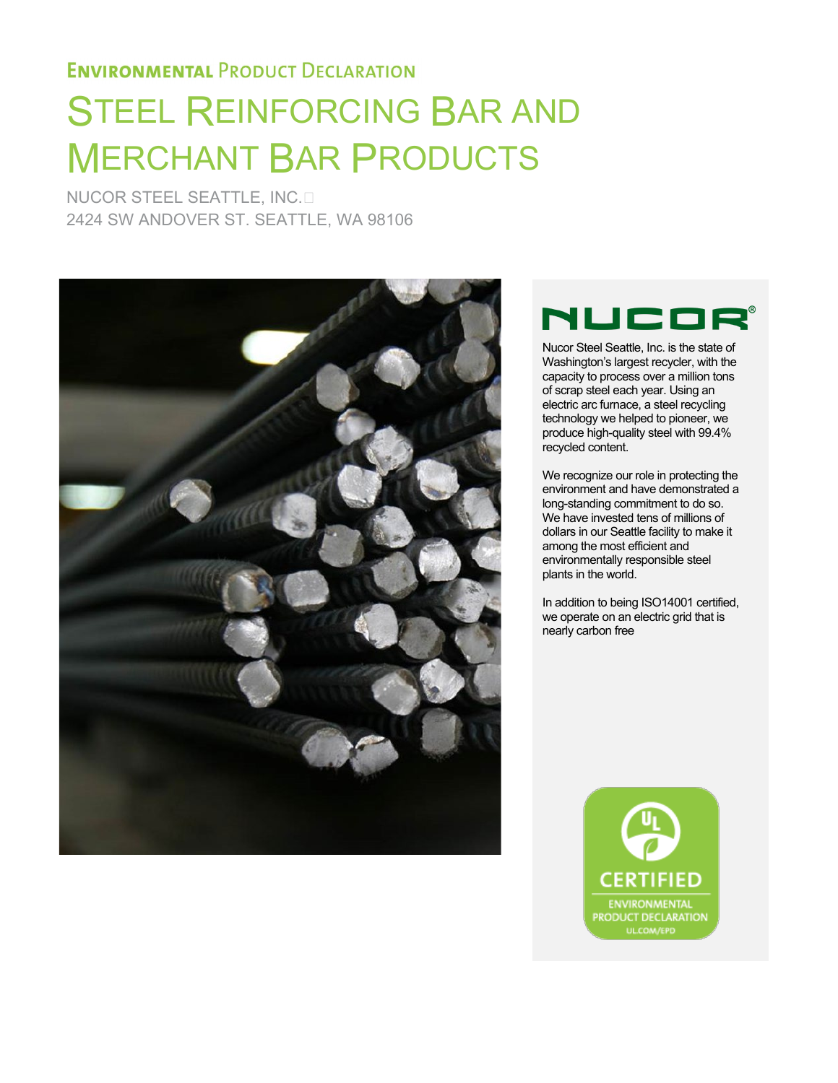# STEEL REINFORCING BAR AND MERCHANT BAR PRODUCTS

NUCOR STEEL SEATTLE, INC. 2424 SW ANDOVER ST. SEATTLE, WA 98106



## **ILICO**

Nucor Steel Seattle, Inc. is the state of Washington's largest recycler, with the capacity to process over a million tons of scrap steel each year. Using an electric arc furnace, a steel recycling technology we helped to pioneer, we produce high-quality steel with 99.4% recycled content.

We recognize our role in protecting the environment and have demonstrated a long-standing commitment to do so. We have invested tens of millions of dollars in our Seattle facility to make it among the most efficient and environmentally responsible steel plants in the world.

In addition to being ISO14001 certified, we operate on an electric grid that is nearly carbon free

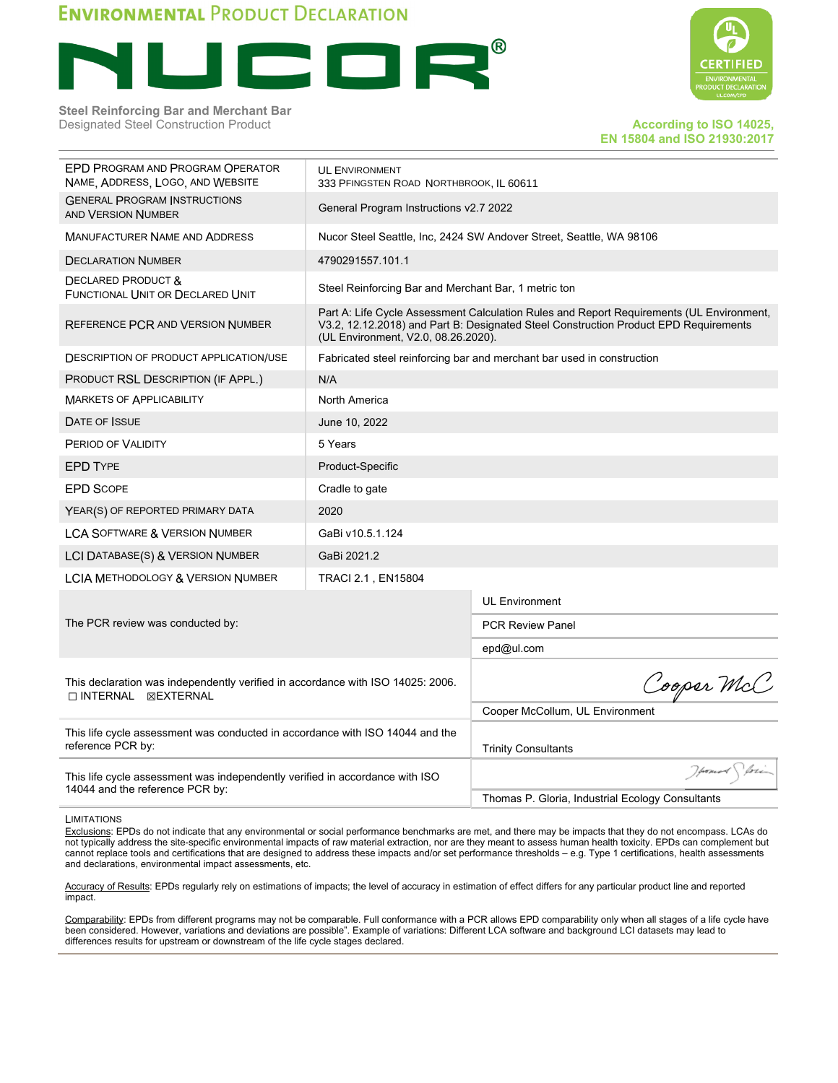

**Steel Reinforcing Bar and Merchant Bar** Designated Steel Construction Product **According to ISO 14025, According to ISO 14025,** 



## **EN 15804 and ISO 21930:2017**

| EPD PROGRAM AND PROGRAM OPERATOR<br>NAME, ADDRESS, LOGO, AND WEBSITE                                            | 333 PFINGSTEN ROAD NORTHBROOK, IL 60611              |                                                                                                                                                                                  |  |  |  |
|-----------------------------------------------------------------------------------------------------------------|------------------------------------------------------|----------------------------------------------------------------------------------------------------------------------------------------------------------------------------------|--|--|--|
| <b>GENERAL PROGRAM INSTRUCTIONS</b><br><b>AND VERSION NUMBER</b>                                                | General Program Instructions v2.7 2022               |                                                                                                                                                                                  |  |  |  |
| MANUFACTURER NAME AND ADDRESS                                                                                   |                                                      | Nucor Steel Seattle, Inc. 2424 SW Andover Street, Seattle, WA 98106                                                                                                              |  |  |  |
| <b>DECLARATION NUMBER</b>                                                                                       | 4790291557.101.1                                     |                                                                                                                                                                                  |  |  |  |
| <b>DECLARED PRODUCT &amp;</b><br>FUNCTIONAL UNIT OR DECLARED UNIT                                               | Steel Reinforcing Bar and Merchant Bar, 1 metric ton |                                                                                                                                                                                  |  |  |  |
| REFERENCE PCR AND VERSION NUMBER                                                                                | (UL Environment, V2.0, 08.26.2020).                  | Part A: Life Cycle Assessment Calculation Rules and Report Requirements (UL Environment,<br>V3.2, 12.12.2018) and Part B: Designated Steel Construction Product EPD Requirements |  |  |  |
| <b>DESCRIPTION OF PRODUCT APPLICATION/USE</b>                                                                   |                                                      | Fabricated steel reinforcing bar and merchant bar used in construction                                                                                                           |  |  |  |
| PRODUCT RSL DESCRIPTION (IF APPL.)                                                                              | N/A                                                  |                                                                                                                                                                                  |  |  |  |
| <b>MARKETS OF APPLICABILITY</b>                                                                                 | North America                                        |                                                                                                                                                                                  |  |  |  |
| DATE OF ISSUE                                                                                                   |                                                      |                                                                                                                                                                                  |  |  |  |
| PERIOD OF VALIDITY                                                                                              | 5 Years                                              |                                                                                                                                                                                  |  |  |  |
| <b>EPD TYPE</b>                                                                                                 | Product-Specific                                     |                                                                                                                                                                                  |  |  |  |
| <b>EPD SCOPE</b>                                                                                                | Cradle to gate                                       |                                                                                                                                                                                  |  |  |  |
| YEAR(S) OF REPORTED PRIMARY DATA                                                                                | 2020                                                 |                                                                                                                                                                                  |  |  |  |
| <b>LCA SOFTWARE &amp; VERSION NUMBER</b>                                                                        | GaBi v10.5.1.124                                     |                                                                                                                                                                                  |  |  |  |
| LCI DATABASE(S) & VERSION NUMBER                                                                                | GaBi 2021.2                                          |                                                                                                                                                                                  |  |  |  |
| <b>LCIA METHODOLOGY &amp; VERSION NUMBER</b>                                                                    | TRACI 2.1, EN15804                                   |                                                                                                                                                                                  |  |  |  |
|                                                                                                                 |                                                      | <b>UL Environment</b>                                                                                                                                                            |  |  |  |
| The PCR review was conducted by:                                                                                |                                                      | <b>PCR Review Panel</b>                                                                                                                                                          |  |  |  |
|                                                                                                                 |                                                      | epd@ul.com                                                                                                                                                                       |  |  |  |
| This declaration was independently verified in accordance with ISO 14025: 2006.<br>□ INTERNAL ⊠EXTERNAL         | Cooper McC                                           |                                                                                                                                                                                  |  |  |  |
|                                                                                                                 | Cooper McCollum, UL Environment                      |                                                                                                                                                                                  |  |  |  |
| This life cycle assessment was conducted in accordance with ISO 14044 and the<br>reference PCR by:              | <b>Trinity Consultants</b>                           |                                                                                                                                                                                  |  |  |  |
| This life cycle assessment was independently verified in accordance with ISO<br>14044 and the reference PCR by: | Homos Stori                                          |                                                                                                                                                                                  |  |  |  |
|                                                                                                                 | Thomas P. Gloria, Industrial Ecology Consultants     |                                                                                                                                                                                  |  |  |  |

**LIMITATIONS** 

Exclusions: EPDs do not indicate that any environmental or social performance benchmarks are met, and there may be impacts that they do not encompass. LCAs do not typically address the site-specific environmental impacts of raw material extraction, nor are they meant to assess human health toxicity. EPDs can complement but cannot replace tools and certifications that are designed to address these impacts and/or set performance thresholds – e.g. Type 1 certifications, health assessments and declarations, environmental impact assessments, etc.

Accuracy of Results: EPDs regularly rely on estimations of impacts; the level of accuracy in estimation of effect differs for any particular product line and reported impact.

Comparability: EPDs from different programs may not be comparable. Full conformance with a PCR allows EPD comparability only when all stages of a life cycle have been considered. However, variations and deviations are possible". Example of variations: Different LCA software and background LCI datasets may lead to differences results for upstream or downstream of the life cycle stages declared.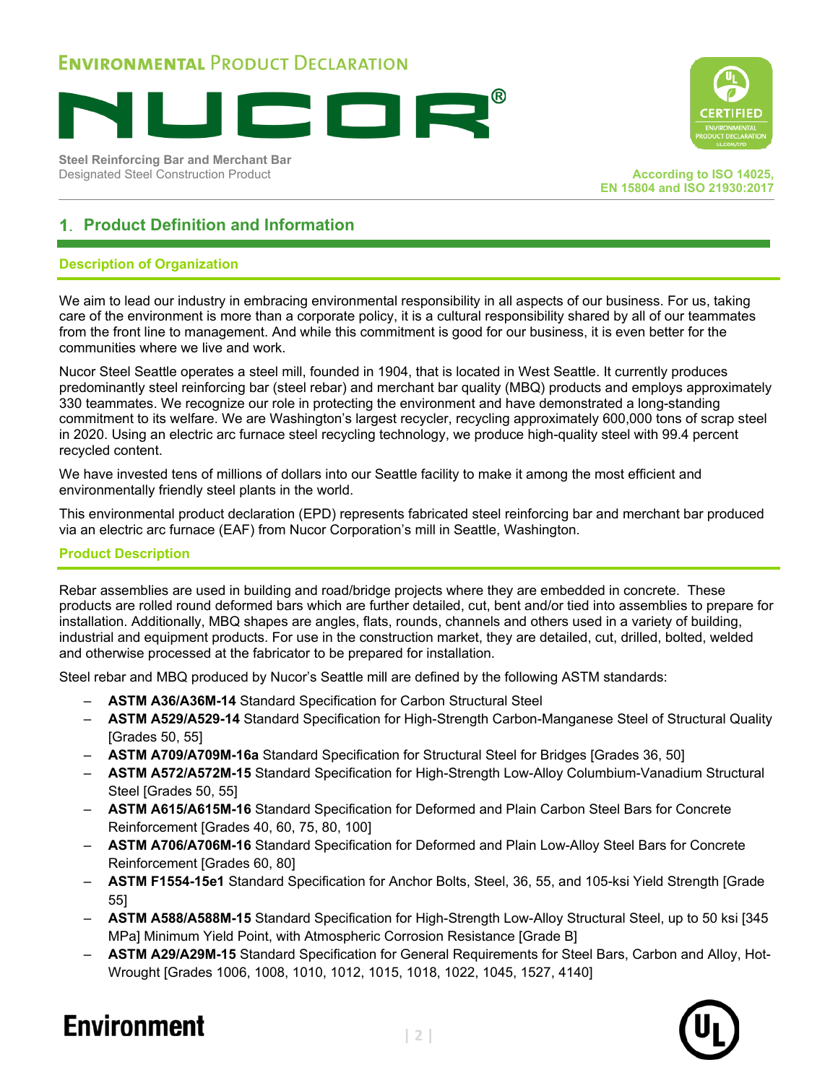

**Steel Reinforcing Bar and Merchant Bar Designated Steel Construction Product According to ISO 14025, According to ISO 14025,** 



**EN 15804 and ISO 21930:2017**

### **Product Definition and Information**

#### **Description of Organization**

We aim to lead our industry in embracing environmental responsibility in all aspects of our business. For us, taking care of the environment is more than a corporate policy, it is a cultural responsibility shared by all of our teammates from the front line to management. And while this commitment is good for our business, it is even better for the communities where we live and work.

Nucor Steel Seattle operates a steel mill, founded in 1904, that is located in West Seattle. It currently produces predominantly steel reinforcing bar (steel rebar) and merchant bar quality (MBQ) products and employs approximately 330 teammates. We recognize our role in protecting the environment and have demonstrated a long-standing commitment to its welfare. We are Washington's largest recycler, recycling approximately 600,000 tons of scrap steel in 2020. Using an electric arc furnace steel recycling technology, we produce high-quality steel with 99.4 percent recycled content.

We have invested tens of millions of dollars into our Seattle facility to make it among the most efficient and environmentally friendly steel plants in the world.

This environmental product declaration (EPD) represents fabricated steel reinforcing bar and merchant bar produced via an electric arc furnace (EAF) from Nucor Corporation's mill in Seattle, Washington.

#### **Product Description**

Rebar assemblies are used in building and road/bridge projects where they are embedded in concrete. These products are rolled round deformed bars which are further detailed, cut, bent and/or tied into assemblies to prepare for installation. Additionally, MBQ shapes are angles, flats, rounds, channels and others used in a variety of building, industrial and equipment products. For use in the construction market, they are detailed, cut, drilled, bolted, welded and otherwise processed at the fabricator to be prepared for installation.

Steel rebar and MBQ produced by Nucor's Seattle mill are defined by the following ASTM standards:

- **ASTM A36/A36M-14** Standard Specification for Carbon Structural Steel
- **ASTM A529/A529-14** Standard Specification for High-Strength Carbon-Manganese Steel of Structural Quality [Grades 50, 55]
- **ASTM A709/A709M-16a** Standard Specification for Structural Steel for Bridges [Grades 36, 50]
- **ASTM A572/A572M-15** Standard Specification for High-Strength Low-Alloy Columbium-Vanadium Structural Steel [Grades 50, 55]
- **ASTM A615/A615M-16** Standard Specification for Deformed and Plain Carbon Steel Bars for Concrete Reinforcement [Grades 40, 60, 75, 80, 100]
- **ASTM A706/A706M-16** Standard Specification for Deformed and Plain Low-Alloy Steel Bars for Concrete Reinforcement [Grades 60, 80]
- **ASTM F1554-15e1** Standard Specification for Anchor Bolts, Steel, 36, 55, and 105-ksi Yield Strength [Grade 55]
- **ASTM A588/A588M-15** Standard Specification for High-Strength Low-Alloy Structural Steel, up to 50 ksi [345 MPa] Minimum Yield Point, with Atmospheric Corrosion Resistance [Grade B]
- **ASTM A29/A29M-15** Standard Specification for General Requirements for Steel Bars, Carbon and Alloy, Hot-Wrought [Grades 1006, 1008, 1010, 1012, 1015, 1018, 1022, 1045, 1527, 4140]

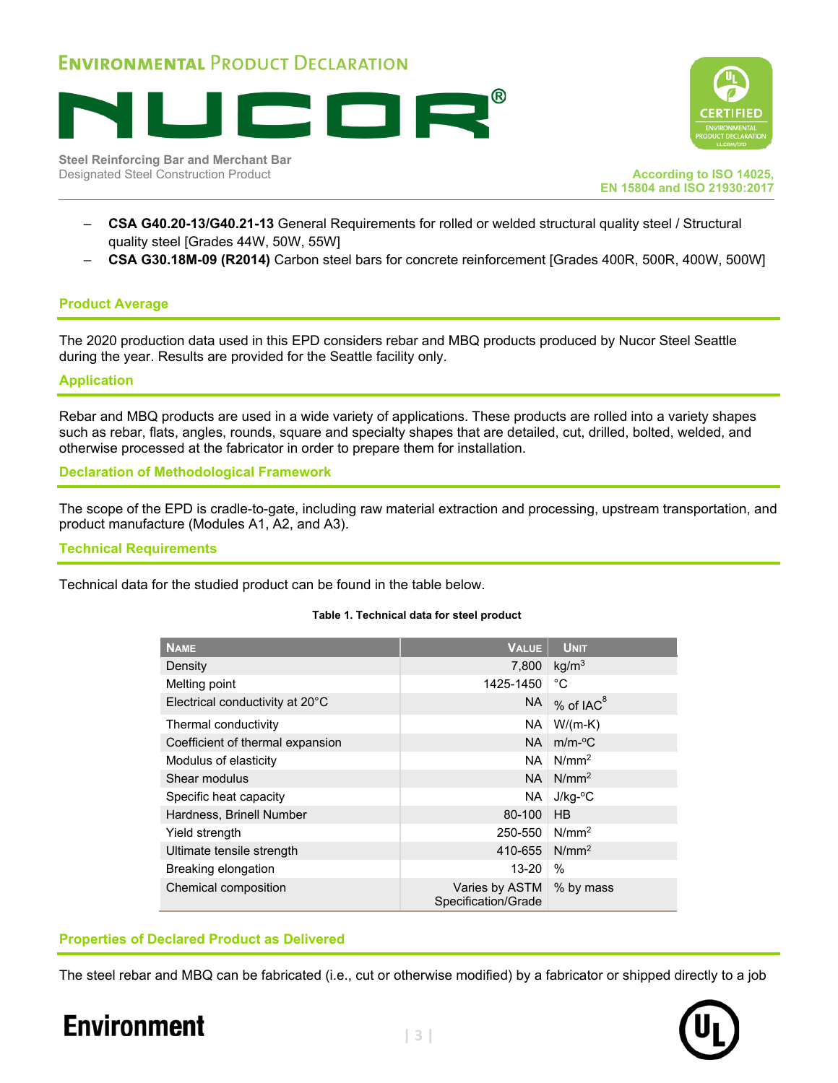





**EN 15804 and ISO 21930:2017**

- **CSA G40.20-13/G40.21-13** General Requirements for rolled or welded structural quality steel / Structural quality steel [Grades 44W, 50W, 55W]
- **CSA G30.18M-09 (R2014)** Carbon steel bars for concrete reinforcement [Grades 400R, 500R, 400W, 500W]

#### **Product Average**

The 2020 production data used in this EPD considers rebar and MBQ products produced by Nucor Steel Seattle during the year. Results are provided for the Seattle facility only.

#### **Application**

Rebar and MBQ products are used in a wide variety of applications. These products are rolled into a variety shapes such as rebar, flats, angles, rounds, square and specialty shapes that are detailed, cut, drilled, bolted, welded, and otherwise processed at the fabricator in order to prepare them for installation.

**Declaration of Methodological Framework**

The scope of the EPD is cradle-to-gate, including raw material extraction and processing, upstream transportation, and product manufacture (Modules A1, A2, and A3).

#### **Technical Requirements**

Technical data for the studied product can be found in the table below.

#### **Table 1. Technical data for steel product**

| <b>NAME</b>                      | <b>VALUE</b>                          | <b>UNIT</b>         |
|----------------------------------|---------------------------------------|---------------------|
| Density                          | 7,800                                 | kg/m <sup>3</sup>   |
| Melting point                    | 1425-1450                             | °С                  |
| Electrical conductivity at 20°C  | <b>NA</b>                             | $%$ of IAC $8$      |
| Thermal conductivity             | NA.                                   | $W/(m-K)$           |
| Coefficient of thermal expansion | <b>NA</b>                             | $m/m$ - $\degree$ C |
| Modulus of elasticity            | NA.                                   | N/mm <sup>2</sup>   |
| Shear modulus                    | <b>NA</b>                             | N/mm <sup>2</sup>   |
| Specific heat capacity           | NA.                                   | $J/kg$ -°C          |
| Hardness, Brinell Number         | 80-100                                | HB                  |
| Yield strength                   | 250-550                               | N/mm <sup>2</sup>   |
| Ultimate tensile strength        | 410-655                               | N/mm <sup>2</sup>   |
| Breaking elongation              | $13 - 20$                             | $\%$                |
| Chemical composition             | Varies by ASTM<br>Specification/Grade | % by mass           |

#### **Properties of Declared Product as Delivered**

The steel rebar and MBQ can be fabricated (i.e., cut or otherwise modified) by a fabricator or shipped directly to a job

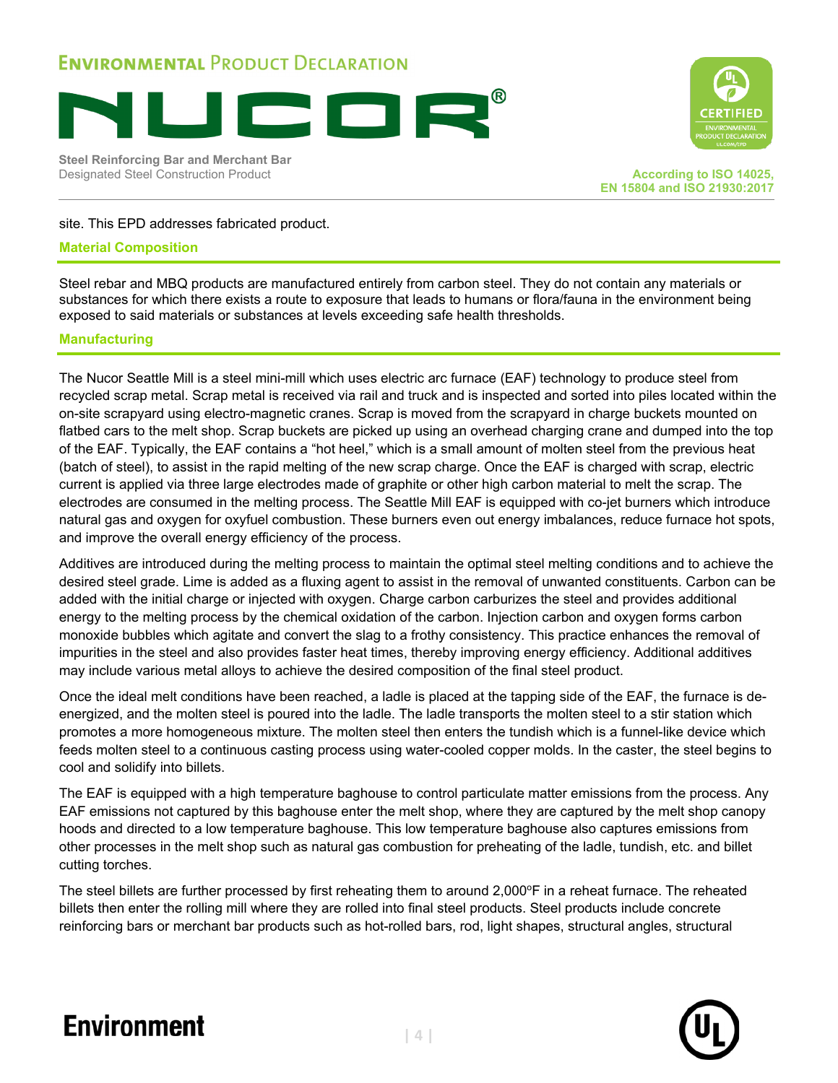

**Steel Reinforcing Bar and Merchant Bar** Designated Steel Construction Product **According to ISO 14025, According to ISO 14025,** 



**EN 15804 and ISO 21930:2017**

#### site. This EPD addresses fabricated product.

#### **Material Composition**

Steel rebar and MBQ products are manufactured entirely from carbon steel. They do not contain any materials or substances for which there exists a route to exposure that leads to humans or flora/fauna in the environment being exposed to said materials or substances at levels exceeding safe health thresholds.

#### **Manufacturing**

The Nucor Seattle Mill is a steel mini-mill which uses electric arc furnace (EAF) technology to produce steel from recycled scrap metal. Scrap metal is received via rail and truck and is inspected and sorted into piles located within the on-site scrapyard using electro-magnetic cranes. Scrap is moved from the scrapyard in charge buckets mounted on flatbed cars to the melt shop. Scrap buckets are picked up using an overhead charging crane and dumped into the top of the EAF. Typically, the EAF contains a "hot heel," which is a small amount of molten steel from the previous heat (batch of steel), to assist in the rapid melting of the new scrap charge. Once the EAF is charged with scrap, electric current is applied via three large electrodes made of graphite or other high carbon material to melt the scrap. The electrodes are consumed in the melting process. The Seattle Mill EAF is equipped with co-jet burners which introduce natural gas and oxygen for oxyfuel combustion. These burners even out energy imbalances, reduce furnace hot spots, and improve the overall energy efficiency of the process.

Additives are introduced during the melting process to maintain the optimal steel melting conditions and to achieve the desired steel grade. Lime is added as a fluxing agent to assist in the removal of unwanted constituents. Carbon can be added with the initial charge or injected with oxygen. Charge carbon carburizes the steel and provides additional energy to the melting process by the chemical oxidation of the carbon. Injection carbon and oxygen forms carbon monoxide bubbles which agitate and convert the slag to a frothy consistency. This practice enhances the removal of impurities in the steel and also provides faster heat times, thereby improving energy efficiency. Additional additives may include various metal alloys to achieve the desired composition of the final steel product.

Once the ideal melt conditions have been reached, a ladle is placed at the tapping side of the EAF, the furnace is deenergized, and the molten steel is poured into the ladle. The ladle transports the molten steel to a stir station which promotes a more homogeneous mixture. The molten steel then enters the tundish which is a funnel-like device which feeds molten steel to a continuous casting process using water-cooled copper molds. In the caster, the steel begins to cool and solidify into billets.

The EAF is equipped with a high temperature baghouse to control particulate matter emissions from the process. Any EAF emissions not captured by this baghouse enter the melt shop, where they are captured by the melt shop canopy hoods and directed to a low temperature baghouse. This low temperature baghouse also captures emissions from other processes in the melt shop such as natural gas combustion for preheating of the ladle, tundish, etc. and billet cutting torches.

The steel billets are further processed by first reheating them to around  $2,000^{\circ}F$  in a reheat furnace. The reheated billets then enter the rolling mill where they are rolled into final steel products. Steel products include concrete reinforcing bars or merchant bar products such as hot-rolled bars, rod, light shapes, structural angles, structural

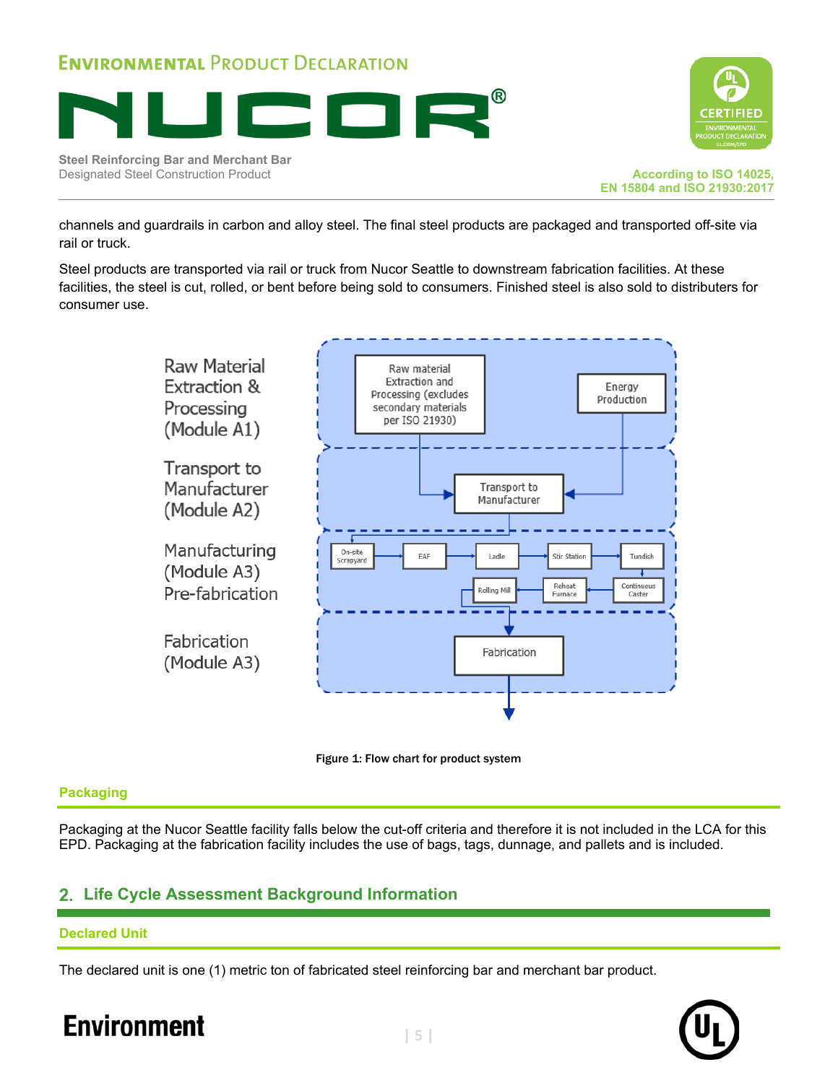





channels and guardrails in carbon and alloy steel. The final steel products are packaged and transported off-site via rail or truck.

Steel products are transported via rail or truck from Nucor Seattle to downstream fabrication facilities. At these facilities, the steel is cut, rolled, or bent before being sold to consumers. Finished steel is also sold to distributers for consumer use.





#### **Packaging**

Packaging at the Nucor Seattle facility falls below the cut-off criteria and therefore it is not included in the LCA for this EPD. Packaging at the fabrication facility includes the use of bags, tags, dunnage, and pallets and is included.

### **Life Cycle Assessment Background Information**

#### **Declared Unit**

The declared unit is one (1) metric ton of fabricated steel reinforcing bar and merchant bar product.

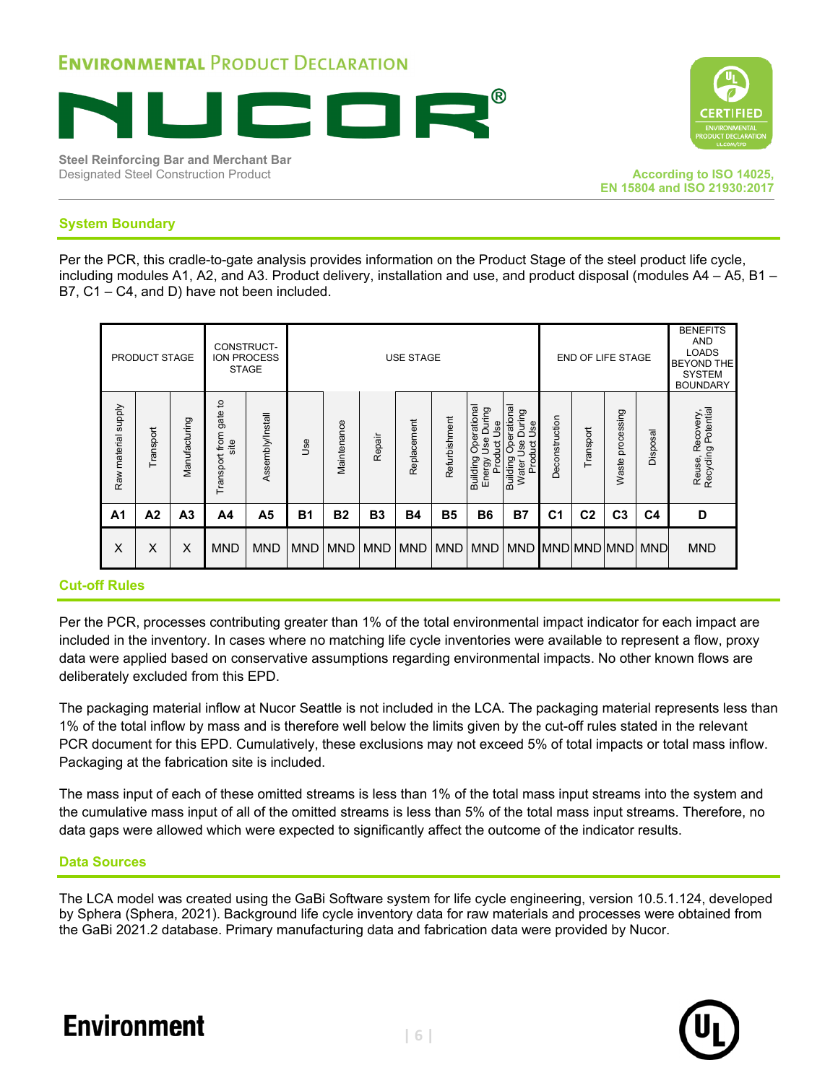





#### **System Boundary**

Per the PCR, this cradle-to-gate analysis provides information on the Product Stage of the steel product life cycle, including modules A1, A2, and A3. Product delivery, installation and use, and product disposal (modules A4 – A5, B1 – B7, C1 – C4, and D) have not been included.

|                     | <b>PRODUCT STAGE</b> |                |                                | CONSTRUCT-<br>ION PROCESS<br><b>STAGE</b> |            | <b>USE STAGE</b> |                |             |               |                                                                      | <b>END OF LIFE STAGE</b>                                                   |                | <b>BENEFITS</b><br><b>AND</b><br><b>LOADS</b><br><b>BEYOND THE</b><br><b>SYSTEM</b><br><b>BOUNDARY</b> |                     |                |                                            |
|---------------------|----------------------|----------------|--------------------------------|-------------------------------------------|------------|------------------|----------------|-------------|---------------|----------------------------------------------------------------------|----------------------------------------------------------------------------|----------------|--------------------------------------------------------------------------------------------------------|---------------------|----------------|--------------------------------------------|
| Raw material supply | Transport            | Manufacturing  | Transport from gate to<br>site | Assembly/Install                          | 9se        | Maintenance      | Repair         | Replacement | Refurbishment | Operational<br>During<br>Use<br>Jse<br>Product<br>Building<br>Energy | Operational<br>During<br><b>Jse</b><br>Use<br>Product<br>Building<br>Water | Deconstruction | Transport                                                                                              | processing<br>Waste | Disposal       | Recycling Potential<br>Recovery,<br>Reuse, |
| A <sub>1</sub>      | A2                   | A <sub>3</sub> | A4                             | A <sub>5</sub>                            | <b>B1</b>  | <b>B2</b>        | B <sub>3</sub> | <b>B4</b>   | <b>B5</b>     | <b>B6</b>                                                            | <b>B7</b>                                                                  | C <sub>1</sub> | C <sub>2</sub>                                                                                         | C <sub>3</sub>      | C <sub>4</sub> | D                                          |
| X                   | X                    | X              | <b>MND</b>                     | <b>MND</b>                                | <b>MND</b> | <b>MND</b>       | <b>MND</b>     |             | MND MND       |                                                                      | MND MND MND MND MND MND                                                    |                |                                                                                                        |                     |                | <b>MND</b>                                 |

#### **Cut-off Rules**

Per the PCR, processes contributing greater than 1% of the total environmental impact indicator for each impact are included in the inventory. In cases where no matching life cycle inventories were available to represent a flow, proxy data were applied based on conservative assumptions regarding environmental impacts. No other known flows are deliberately excluded from this EPD.

The packaging material inflow at Nucor Seattle is not included in the LCA. The packaging material represents less than 1% of the total inflow by mass and is therefore well below the limits given by the cut-off rules stated in the relevant PCR document for this EPD. Cumulatively, these exclusions may not exceed 5% of total impacts or total mass inflow. Packaging at the fabrication site is included.

The mass input of each of these omitted streams is less than 1% of the total mass input streams into the system and the cumulative mass input of all of the omitted streams is less than 5% of the total mass input streams. Therefore, no data gaps were allowed which were expected to significantly affect the outcome of the indicator results.

#### **Data Sources**

The LCA model was created using the GaBi Software system for life cycle engineering, version 10.5.1.124, developed by Sphera (Sphera, 2021). Background life cycle inventory data for raw materials and processes were obtained from the GaBi 2021.2 database. Primary manufacturing data and fabrication data were provided by Nucor.

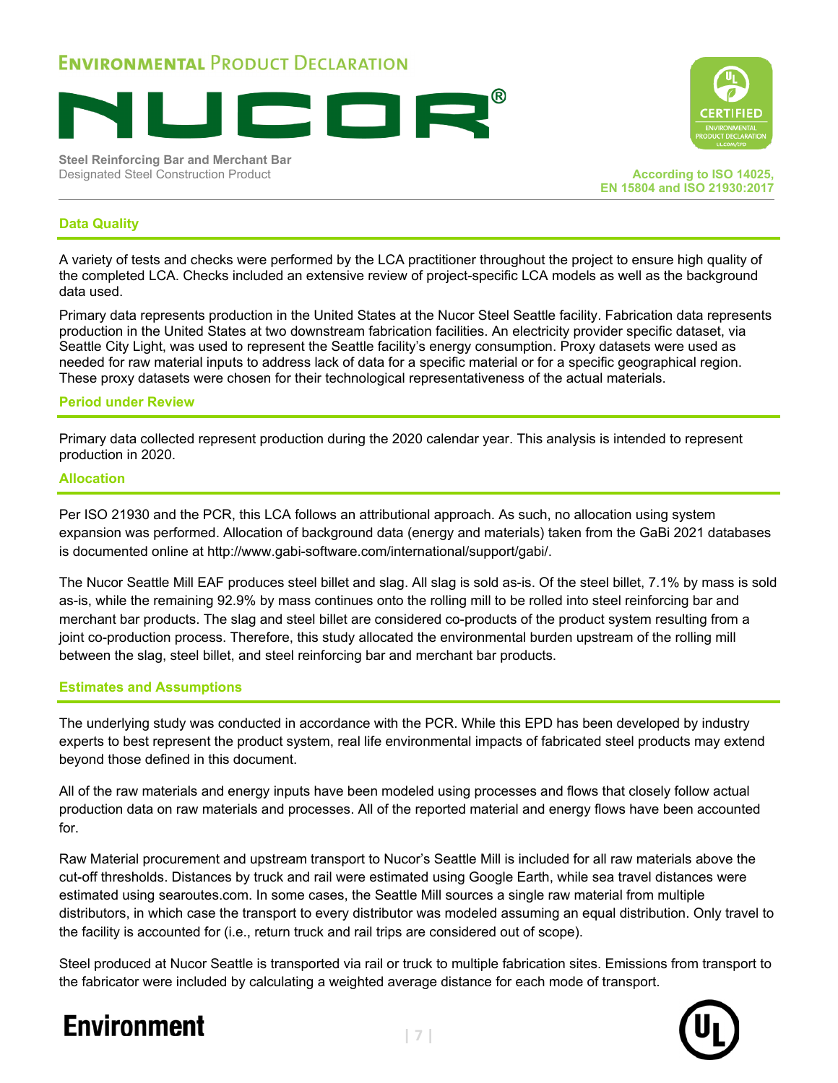

**Steel Reinforcing Bar and Merchant Bar Designated Steel Construction Product According to ISO 14025, According to ISO 14025,** 



**EN 15804 and ISO 21930:2017**

#### **Data Quality**

A variety of tests and checks were performed by the LCA practitioner throughout the project to ensure high quality of the completed LCA. Checks included an extensive review of project-specific LCA models as well as the background data used.

Primary data represents production in the United States at the Nucor Steel Seattle facility. Fabrication data represents production in the United States at two downstream fabrication facilities. An electricity provider specific dataset, via Seattle City Light, was used to represent the Seattle facility's energy consumption. Proxy datasets were used as needed for raw material inputs to address lack of data for a specific material or for a specific geographical region. These proxy datasets were chosen for their technological representativeness of the actual materials.

#### **Period under Review**

Primary data collected represent production during the 2020 calendar year. This analysis is intended to represent production in 2020.

#### **Allocation**

Per ISO 21930 and the PCR, this LCA follows an attributional approach. As such, no allocation using system expansion was performed. Allocation of background data (energy and materials) taken from the GaBi 2021 databases is documented online at http://www.gabi-software.com/international/support/gabi/.

The Nucor Seattle Mill EAF produces steel billet and slag. All slag is sold as-is. Of the steel billet, 7.1% by mass is sold as-is, while the remaining 92.9% by mass continues onto the rolling mill to be rolled into steel reinforcing bar and merchant bar products. The slag and steel billet are considered co-products of the product system resulting from a joint co-production process. Therefore, this study allocated the environmental burden upstream of the rolling mill between the slag, steel billet, and steel reinforcing bar and merchant bar products.

#### **Estimates and Assumptions**

The underlying study was conducted in accordance with the PCR. While this EPD has been developed by industry experts to best represent the product system, real life environmental impacts of fabricated steel products may extend beyond those defined in this document.

All of the raw materials and energy inputs have been modeled using processes and flows that closely follow actual production data on raw materials and processes. All of the reported material and energy flows have been accounted for.

Raw Material procurement and upstream transport to Nucor's Seattle Mill is included for all raw materials above the cut-off thresholds. Distances by truck and rail were estimated using Google Earth, while sea travel distances were estimated using searoutes.com. In some cases, the Seattle Mill sources a single raw material from multiple distributors, in which case the transport to every distributor was modeled assuming an equal distribution. Only travel to the facility is accounted for (i.e., return truck and rail trips are considered out of scope).

Steel produced at Nucor Seattle is transported via rail or truck to multiple fabrication sites. Emissions from transport to the fabricator were included by calculating a weighted average distance for each mode of transport.

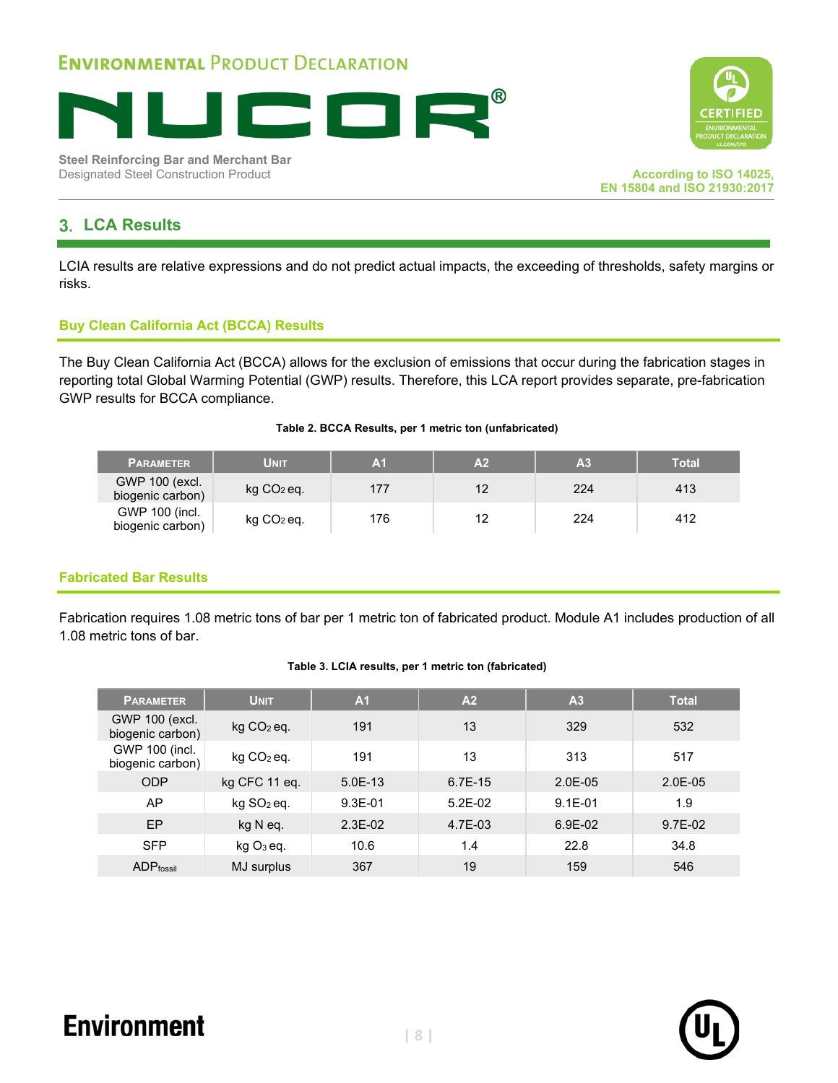

**Steel Reinforcing Bar and Merchant Bar** Designated Steel Construction Product **According to ISO 14025,**



### **LCA Results**

LCIA results are relative expressions and do not predict actual impacts, the exceeding of thresholds, safety margins or risks.

#### **Buy Clean California Act (BCCA) Results**

The Buy Clean California Act (BCCA) allows for the exclusion of emissions that occur during the fabrication stages in reporting total Global Warming Potential (GWP) results. Therefore, this LCA report provides separate, pre-fabrication GWP results for BCCA compliance.

#### **Table 2. BCCA Results, per 1 metric ton (unfabricated)**

| <b>PARAMETER</b>                   | Unit         | A <sub>1</sub> | A <sub>2</sub> | A <sub>3</sub> | Total |
|------------------------------------|--------------|----------------|----------------|----------------|-------|
| GWP 100 (excl.<br>biogenic carbon) | $kg CO2$ eq. | 177            | 12             | 224            | 413   |
| GWP 100 (incl.<br>biogenic carbon) | $kg CO2$ eq. | 176            | 12             | 224            | 412   |

#### **Fabricated Bar Results**

 $\overline{\phantom{a}}$ 

Fabrication requires 1.08 metric tons of bar per 1 metric ton of fabricated product. Module A1 includes production of all 1.08 metric tons of bar.

#### **Table 3. LCIA results, per 1 metric ton (fabricated)**

| <b>PARAMETER</b>                   | <b>UNIT</b>            | A <sub>1</sub> | A <sub>2</sub> | A <sub>3</sub> | <b>Total</b> |
|------------------------------------|------------------------|----------------|----------------|----------------|--------------|
| GWP 100 (excl.<br>biogenic carbon) | $kg CO2$ eq.           | 191            | 13             | 329            | 532          |
| GWP 100 (incl.<br>biogenic carbon) | $kg CO2$ eq.           | 191            | 13             | 313            | 517          |
| <b>ODP</b>                         | kg CFC 11 eq.          | $5.0E-13$      | 6.7E-15        | $2.0E-05$      | $2.0E-05$    |
| AP                                 | kg SO <sub>2</sub> eq. | $9.3E-01$      | $5.2E-02$      | $9.1E - 01$    | 1.9          |
| EP                                 | kg N eq.               | $2.3E-02$      | 4.7E-03        | 6.9E-02        | $9.7E-02$    |
| <b>SFP</b>                         | kg O <sub>3</sub> eq.  | 10.6           | 1.4            | 22.8           | 34.8         |
| <b>ADPfossil</b>                   | MJ surplus             | 367            | 19             | 159            | 546          |



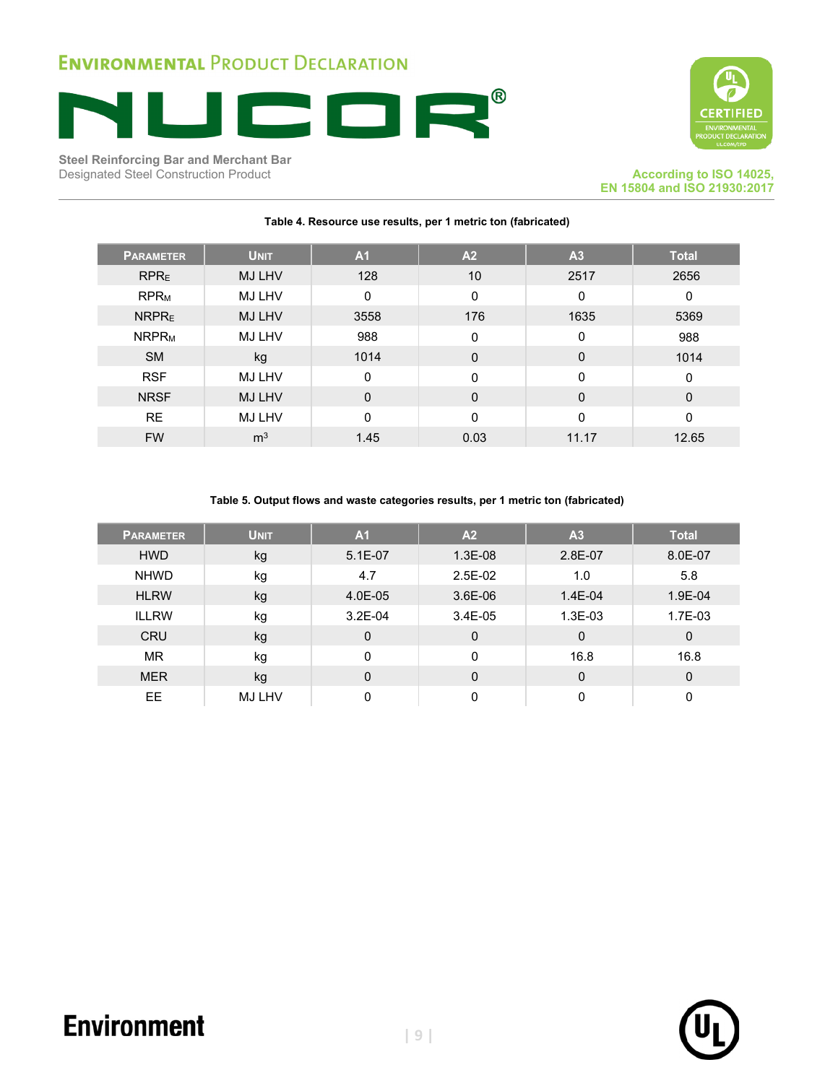

**Steel Reinforcing Bar and Merchant Bar** Designated Steel Construction Product **According to ISO 14025, According to ISO 14025**,



**EN 15804 and ISO 21930:2017**

| <b>PARAMETER</b>        | <b>UNIT</b>    | A <sub>1</sub> | A <sub>2</sub> | A <sub>3</sub> | <b>Total</b> |
|-------------------------|----------------|----------------|----------------|----------------|--------------|
| <b>RPRE</b>             | <b>MJ LHV</b>  | 128            | 10             | 2517           | 2656         |
| <b>RPR<sub>M</sub></b>  | MJ LHV         | $\Omega$       | $\mathbf 0$    | $\mathbf 0$    | 0            |
| NRPR <sub>E</sub>       | <b>MJ LHV</b>  | 3558           | 176            | 1635           | 5369         |
| <b>NRPR<sub>M</sub></b> | MJ LHV         | 988            | 0              | 0              | 988          |
| <b>SM</b>               | kg             | 1014           | $\mathbf 0$    | $\mathbf 0$    | 1014         |
| <b>RSF</b>              | <b>MJ LHV</b>  | $\Omega$       | $\mathbf{0}$   | 0              | $\Omega$     |
| <b>NRSF</b>             | <b>MJ LHV</b>  | $\mathbf 0$    | $\Omega$       | $\mathbf 0$    | $\Omega$     |
| <b>RE</b>               | MJ LHV         | $\Omega$       | $\Omega$       | 0              | 0            |
| <b>FW</b>               | m <sup>3</sup> | 1.45           | 0.03           | 11.17          | 12.65        |

#### **Table 4. Resource use results, per 1 metric ton (fabricated)**

#### **Table 5. Output flows and waste categories results, per 1 metric ton (fabricated)**

| <b>PARAMETER</b> | <b>UNIT</b>   | A <sub>1</sub> | A <sub>2</sub> | A <sub>3</sub> | <b>Total</b> |
|------------------|---------------|----------------|----------------|----------------|--------------|
| <b>HWD</b>       | kg            | $5.1E-07$      | 1.3E-08        | 2.8E-07        | 8.0E-07      |
| <b>NHWD</b>      | kg            | 4.7            | $2.5E-02$      | 1.0            | 5.8          |
| <b>HLRW</b>      | kg            | 4.0E-05        | 3.6E-06        | $1.4E - 04$    | 1.9E-04      |
| <b>ILLRW</b>     | kg            | $3.2E-04$      | 3.4E-05        | 1.3E-03        | 1.7E-03      |
| <b>CRU</b>       | kg            | $\mathbf 0$    | 0              | 0              | $\mathbf 0$  |
| <b>MR</b>        | kg            | 0              | $\mathbf 0$    | 16.8           | 16.8         |
| <b>MER</b>       | kg            | $\mathbf 0$    | $\Omega$       | 0              | $\mathbf 0$  |
| ЕE               | <b>MJ LHV</b> | 0              | 0              | 0              | 0            |



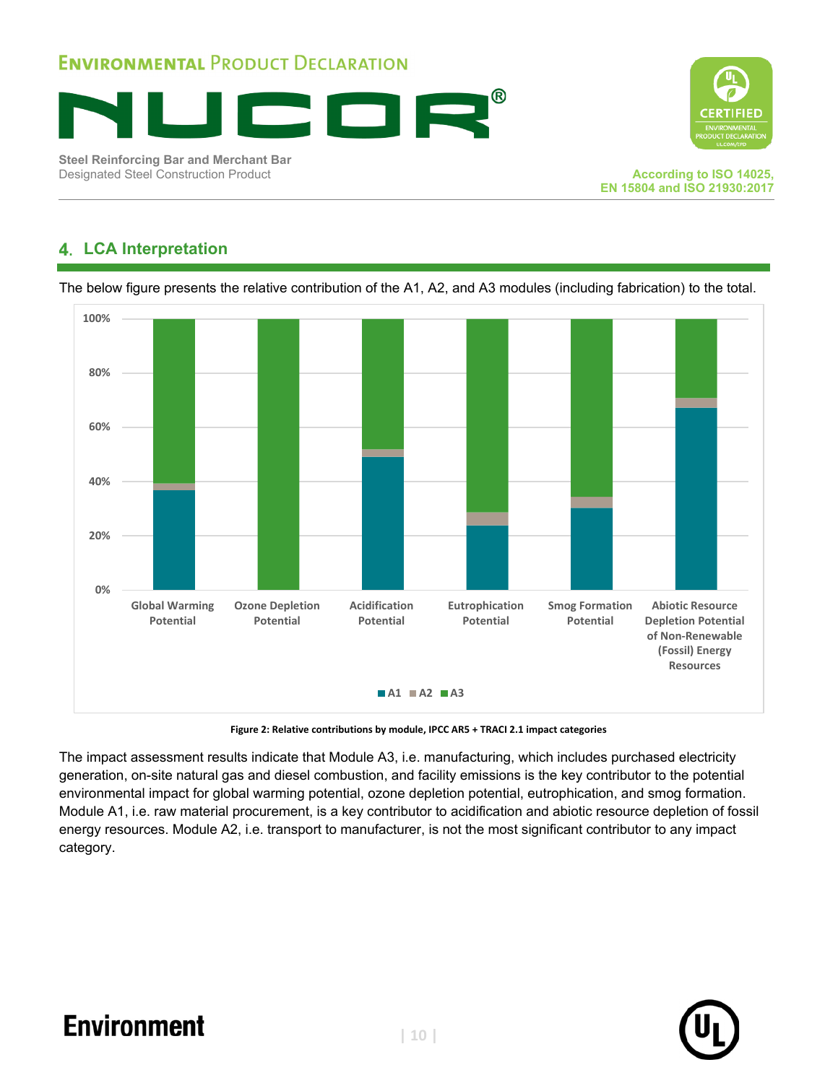



**Steel Reinforcing Bar and Merchant Bar** Designated Steel Construction Product **According to ISO 14025,**

### **LCA Interpretation**

The below figure presents the relative contribution of the A1, A2, and A3 modules (including fabrication) to the total.



**Figure 2: Relative contributions by module, IPCC AR5 + TRACI 2.1 impact categories**

The impact assessment results indicate that Module A3, i.e. manufacturing, which includes purchased electricity generation, on-site natural gas and diesel combustion, and facility emissions is the key contributor to the potential environmental impact for global warming potential, ozone depletion potential, eutrophication, and smog formation. Module A1, i.e. raw material procurement, is a key contributor to acidification and abiotic resource depletion of fossil energy resources. Module A2, i.e. transport to manufacturer, is not the most significant contributor to any impact category.

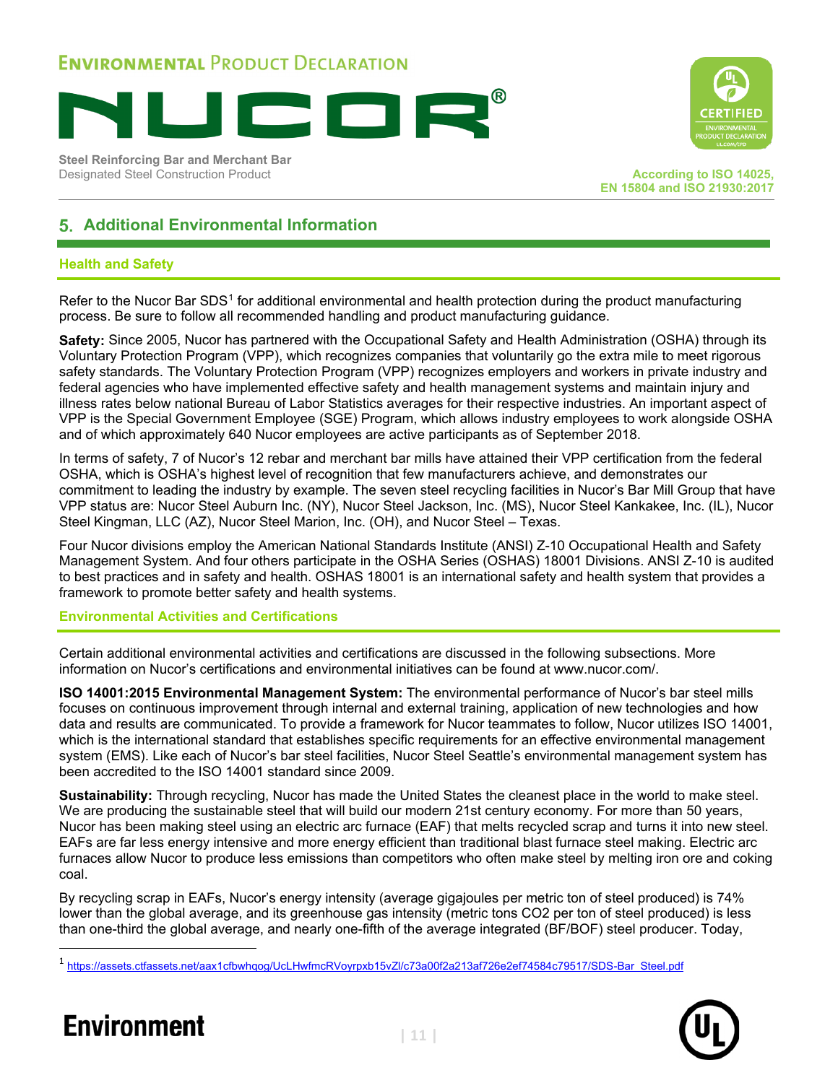

**Steel Reinforcing Bar and Merchant Bar Designated Steel Construction Product According to ISO 14025, According to ISO 14025,** 



**EN 15804 and ISO 21930:2017**

### **Additional Environmental Information**

#### **Health and Safety**

Refer to the Nucor Bar SDS<sup>[1](#page-11-0)</sup> for additional environmental and health protection during the product manufacturing process. Be sure to follow all recommended handling and product manufacturing guidance.

**Safety:** Since 2005, Nucor has partnered with the Occupational Safety and Health Administration (OSHA) through its Voluntary Protection Program (VPP), which recognizes companies that voluntarily go the extra mile to meet rigorous safety standards. The Voluntary Protection Program (VPP) recognizes employers and workers in private industry and federal agencies who have implemented effective safety and health management systems and maintain injury and illness rates below national Bureau of Labor Statistics averages for their respective industries. An important aspect of VPP is the Special Government Employee (SGE) Program, which allows industry employees to work alongside OSHA and of which approximately 640 Nucor employees are active participants as of September 2018.

In terms of safety, 7 of Nucor's 12 rebar and merchant bar mills have attained their VPP certification from the federal OSHA, which is OSHA's highest level of recognition that few manufacturers achieve, and demonstrates our commitment to leading the industry by example. The seven steel recycling facilities in Nucor's Bar Mill Group that have VPP status are: Nucor Steel Auburn Inc. (NY), Nucor Steel Jackson, Inc. (MS), Nucor Steel Kankakee, Inc. (IL), Nucor Steel Kingman, LLC (AZ), Nucor Steel Marion, Inc. (OH), and Nucor Steel – Texas.

Four Nucor divisions employ the American National Standards Institute (ANSI) Z-10 Occupational Health and Safety Management System. And four others participate in the OSHA Series (OSHAS) 18001 Divisions. ANSI Z-10 is audited to best practices and in safety and health. OSHAS 18001 is an international safety and health system that provides a framework to promote better safety and health systems.

#### **Environmental Activities and Certifications**

Certain additional environmental activities and certifications are discussed in the following subsections. More information on Nucor's certifications and environmental initiatives can be found at www.nucor.com/.

**ISO 14001:2015 Environmental Management System:** The environmental performance of Nucor's bar steel mills focuses on continuous improvement through internal and external training, application of new technologies and how data and results are communicated. To provide a framework for Nucor teammates to follow, Nucor utilizes ISO 14001, which is the international standard that establishes specific requirements for an effective environmental management system (EMS). Like each of Nucor's bar steel facilities, Nucor Steel Seattle's environmental management system has been accredited to the ISO 14001 standard since 2009.

**Sustainability:** Through recycling, Nucor has made the United States the cleanest place in the world to make steel. We are producing the sustainable steel that will build our modern 21st century economy. For more than 50 years, Nucor has been making steel using an electric arc furnace (EAF) that melts recycled scrap and turns it into new steel. EAFs are far less energy intensive and more energy efficient than traditional blast furnace steel making. Electric arc furnaces allow Nucor to produce less emissions than competitors who often make steel by melting iron ore and coking coal.

By recycling scrap in EAFs, Nucor's energy intensity (average gigajoules per metric ton of steel produced) is 74% lower than the global average, and its greenhouse gas intensity (metric tons CO2 per ton of steel produced) is less than one-third the global average, and nearly one-fifth of the average integrated (BF/BOF) steel producer. Today,

<span id="page-11-0"></span><sup>1</sup> [https://assets.ctfassets.net/aax1cfbwhqog/UcLHwfmcRVoyrpxb15vZl/c73a00f2a213af726e2ef74584c79517/SDS-Bar\\_Steel.pdf](https://nam04.safelinks.protection.outlook.com/?url=https%3A%2F%2Fassets.ctfassets.net%2Faax1cfbwhqog%2FUcLHwfmcRVoyrpxb15vZl%2Fc73a00f2a213af726e2ef74584c79517%2FSDS-Bar_Steel.pdf&data=04%7C01%7CMWildnauer%40sphera.com%7Ca1582d947c8f4714eeab08d8c0d86ca6%7C873eb48307b24080ae8c63f160f5c718%7C0%7C0%7C637471383369694571%7CUnknown%7CTWFpbGZsb3d8eyJWIjoiMC4wLjAwMDAiLCJQIjoiV2luMzIiLCJBTiI6Ik1haWwiLCJXVCI6Mn0%3D%7C1000&sdata=uMKhXxUQA%2B3iOO3gUYvZ9vVvhFXpQz4OkZtUcYkskSw%3D&reserved=0)



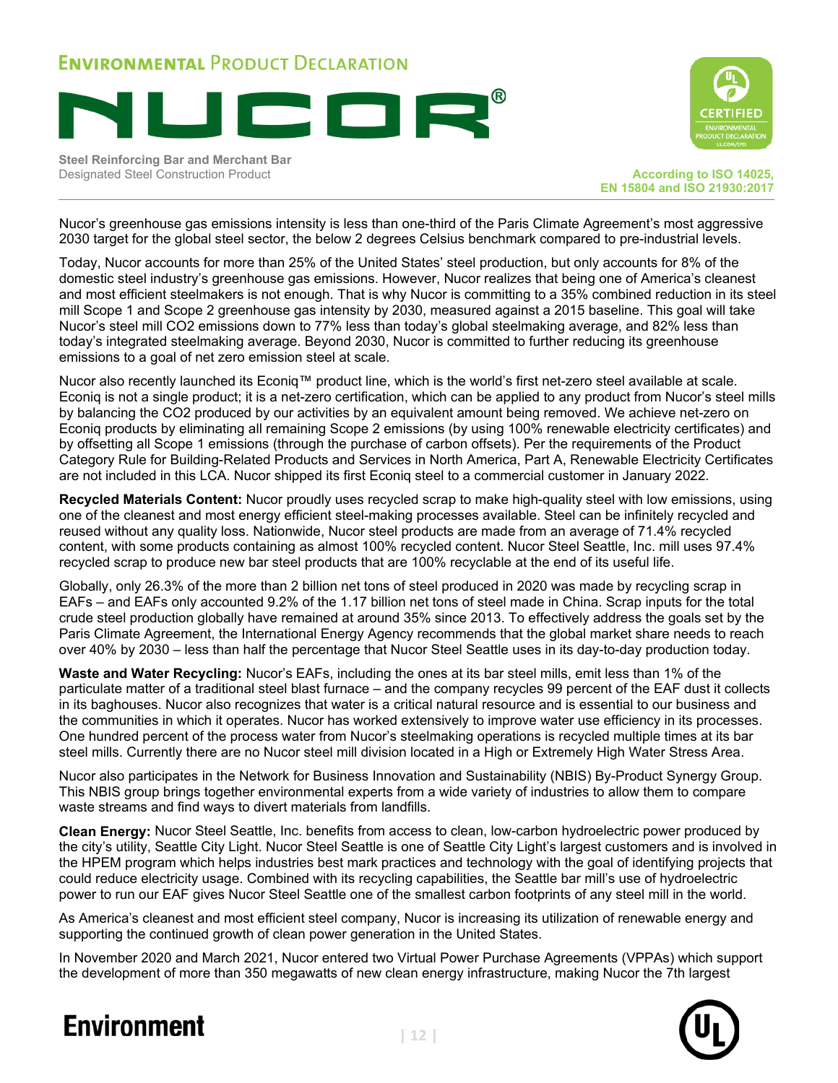

**Steel Reinforcing Bar and Merchant Bar Designated Steel Construction Product According to ISO 14025, According to ISO 14025,** 



**EN 15804 and ISO 21930:2017**

Nucor's greenhouse gas emissions intensity is less than one-third of the Paris Climate Agreement's most aggressive 2030 target for the global steel sector, the below 2 degrees Celsius benchmark compared to pre-industrial levels.

Today, Nucor accounts for more than 25% of the United States' steel production, but only accounts for 8% of the domestic steel industry's greenhouse gas emissions. However, Nucor realizes that being one of America's cleanest and most efficient steelmakers is not enough. That is why Nucor is committing to a 35% combined reduction in its steel mill Scope 1 and Scope 2 greenhouse gas intensity by 2030, measured against a 2015 baseline. This goal will take Nucor's steel mill CO2 emissions down to 77% less than today's global steelmaking average, and 82% less than today's integrated steelmaking average. Beyond 2030, Nucor is committed to further reducing its greenhouse emissions to a goal of net zero emission steel at scale.

Nucor also recently launched its Econiq™ product line, which is the world's first net-zero steel available at scale. Econiq is not a single product; it is a net-zero certification, which can be applied to any product from Nucor's steel mills by balancing the CO2 produced by our activities by an equivalent amount being removed. We achieve net-zero on Econiq products by eliminating all remaining Scope 2 emissions (by using 100% renewable electricity certificates) and by offsetting all Scope 1 emissions (through the purchase of carbon offsets). Per the requirements of the Product Category Rule for Building-Related Products and Services in North America, Part A, Renewable Electricity Certificates are not included in this LCA. Nucor shipped its first Econiq steel to a commercial customer in January 2022.

**Recycled Materials Content:** Nucor proudly uses recycled scrap to make high-quality steel with low emissions, using one of the cleanest and most energy efficient steel-making processes available. Steel can be infinitely recycled and reused without any quality loss. Nationwide, Nucor steel products are made from an average of 71.4% recycled content, with some products containing as almost 100% recycled content. Nucor Steel Seattle, Inc. mill uses 97.4% recycled scrap to produce new bar steel products that are 100% recyclable at the end of its useful life.

Globally, only 26.3% of the more than 2 billion net tons of steel produced in 2020 was made by recycling scrap in EAFs – and EAFs only accounted 9.2% of the 1.17 billion net tons of steel made in China. Scrap inputs for the total crude steel production globally have remained at around 35% since 2013. To effectively address the goals set by the Paris Climate Agreement, the International Energy Agency recommends that the global market share needs to reach over 40% by 2030 – less than half the percentage that Nucor Steel Seattle uses in its day-to-day production today.

**Waste and Water Recycling:** Nucor's EAFs, including the ones at its bar steel mills, emit less than 1% of the particulate matter of a traditional steel blast furnace – and the company recycles 99 percent of the EAF dust it collects in its baghouses. Nucor also recognizes that water is a critical natural resource and is essential to our business and the communities in which it operates. Nucor has worked extensively to improve water use efficiency in its processes. One hundred percent of the process water from Nucor's steelmaking operations is recycled multiple times at its bar steel mills. Currently there are no Nucor steel mill division located in a High or Extremely High Water Stress Area.

Nucor also participates in the Network for Business Innovation and Sustainability (NBIS) By-Product Synergy Group. This NBIS group brings together environmental experts from a wide variety of industries to allow them to compare waste streams and find ways to divert materials from landfills.

**Clean Energy:** Nucor Steel Seattle, Inc. benefits from access to clean, low-carbon hydroelectric power produced by the city's utility, Seattle City Light. Nucor Steel Seattle is one of Seattle City Light's largest customers and is involved in the HPEM program which helps industries best mark practices and technology with the goal of identifying projects that could reduce electricity usage. Combined with its recycling capabilities, the Seattle bar mill's use of hydroelectric power to run our EAF gives Nucor Steel Seattle one of the smallest carbon footprints of any steel mill in the world.

As America's cleanest and most efficient steel company, Nucor is increasing its utilization of renewable energy and supporting the continued growth of clean power generation in the United States.

In November 2020 and March 2021, Nucor entered two Virtual Power Purchase Agreements (VPPAs) which support the development of more than 350 megawatts of new clean energy infrastructure, making Nucor the 7th largest

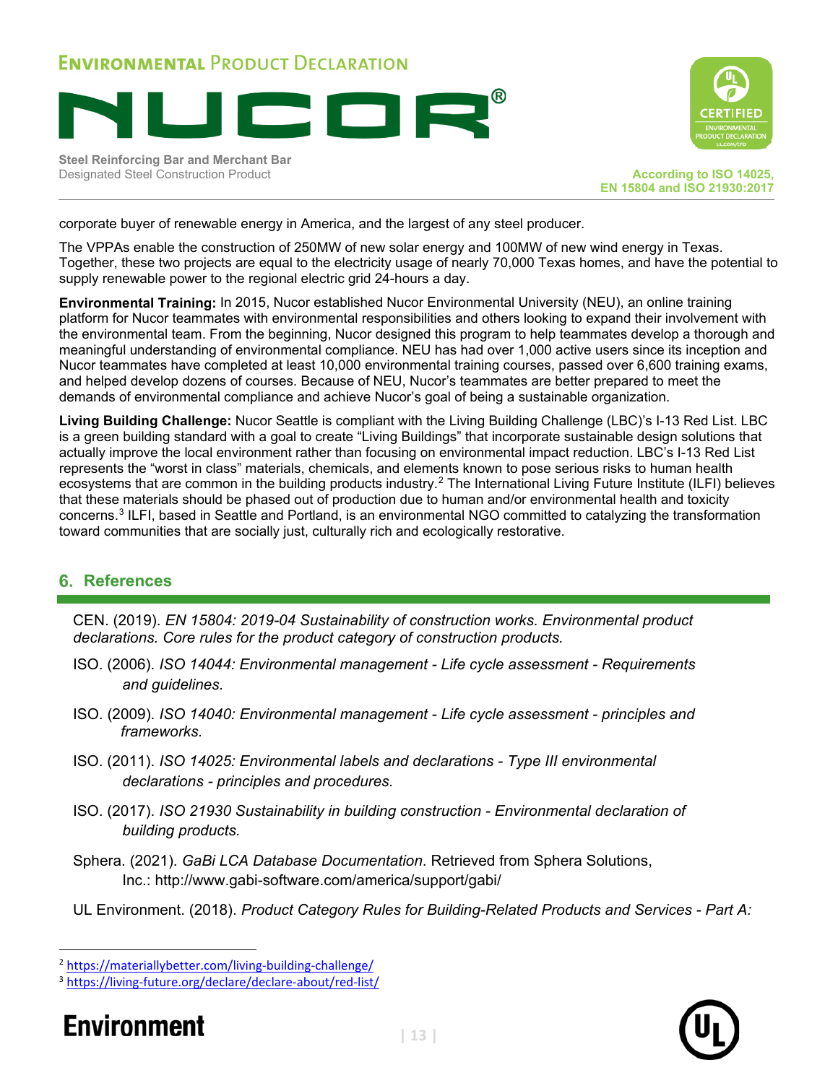

**Steel Reinforcing Bar and Merchant Bar Designated Steel Construction Product According to ISO 14025, According to ISO 14025,** 



**EN 15804 and ISO 21930:2017**

corporate buyer of renewable energy in America, and the largest of any steel producer.

The VPPAs enable the construction of 250MW of new solar energy and 100MW of new wind energy in Texas. Together, these two projects are equal to the electricity usage of nearly 70,000 Texas homes, and have the potential to supply renewable power to the regional electric grid 24-hours a day.

**Environmental Training:** In 2015, Nucor established Nucor Environmental University (NEU), an online training platform for Nucor teammates with environmental responsibilities and others looking to expand their involvement with the environmental team. From the beginning, Nucor designed this program to help teammates develop a thorough and meaningful understanding of environmental compliance. NEU has had over 1,000 active users since its inception and Nucor teammates have completed at least 10,000 environmental training courses, passed over 6,600 training exams, and helped develop dozens of courses. Because of NEU, Nucor's teammates are better prepared to meet the demands of environmental compliance and achieve Nucor's goal of being a sustainable organization.

**Living Building Challenge:** Nucor Seattle is compliant with the Living Building Challenge (LBC)'s I-13 Red List. LBC is a green building standard with a goal to create "Living Buildings" that incorporate sustainable design solutions that actually improve the local environment rather than focusing on environmental impact reduction. LBC's I-13 Red List represents the "worst in class" materials, chemicals, and elements known to pose serious risks to human health ecosystems that are common in the building products industry.<sup>[2](#page-13-0)</sup> The International Living Future Institute (ILFI) believes that these materials should be phased out of production due to human and/or environmental health and toxicity concerns. [3](#page-13-1) ILFI, based in Seattle and Portland, is an environmental NGO committed to catalyzing the transformation toward communities that are socially just, culturally rich and ecologically restorative.

### **References**

CEN. (2019). *EN 15804: 2019-04 Sustainability of construction works. Environmental product declarations. Core rules for the product category of construction products.*

- ISO. (2006). *ISO 14044: Environmental management Life cycle assessment Requirements and guidelines.*
- ISO. (2009). *ISO 14040: Environmental management Life cycle assessment principles and frameworks.*
- ISO. (2011). *ISO 14025: Environmental labels and declarations Type III environmental declarations - principles and procedures.*
- ISO. (2017). *ISO 21930 Sustainability in building construction Environmental declaration of building products.*
- Sphera. (2021). *GaBi LCA Database Documentation*. Retrieved from Sphera Solutions, Inc.:<http://www.gabi-software.com/america/support/gabi/>
- UL Environment. (2018). *Product Category Rules for Building-Related Products and Services Part A:*

<span id="page-13-1"></span><span id="page-13-0"></span>



<sup>&</sup>lt;sup>2</sup> https://materiallybetter.com/living-building-challenge/<br><sup>3</sup> https://living-future.org/declare/declare-about/red-list/